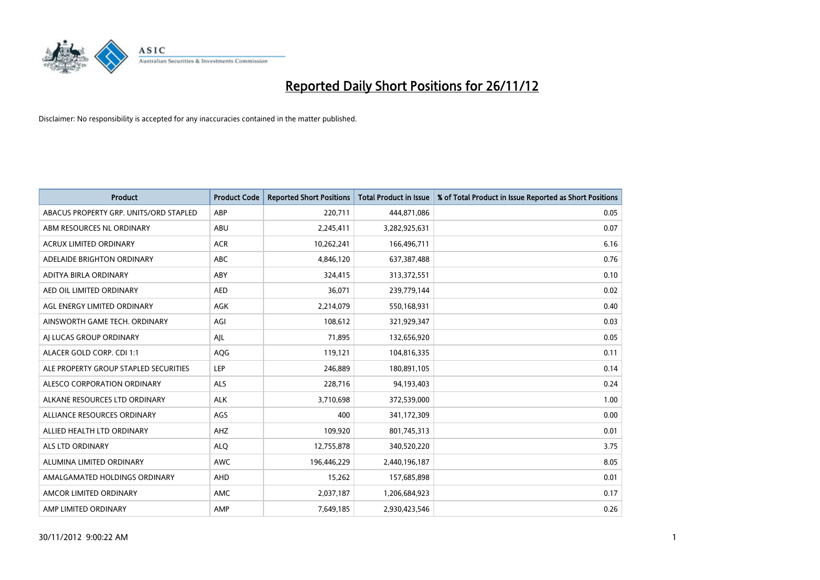

| <b>Product</b>                         | <b>Product Code</b> | <b>Reported Short Positions</b> | <b>Total Product in Issue</b> | % of Total Product in Issue Reported as Short Positions |
|----------------------------------------|---------------------|---------------------------------|-------------------------------|---------------------------------------------------------|
| ABACUS PROPERTY GRP. UNITS/ORD STAPLED | ABP                 | 220,711                         | 444,871,086                   | 0.05                                                    |
| ABM RESOURCES NL ORDINARY              | ABU                 | 2,245,411                       | 3,282,925,631                 | 0.07                                                    |
| <b>ACRUX LIMITED ORDINARY</b>          | <b>ACR</b>          | 10,262,241                      | 166,496,711                   | 6.16                                                    |
| ADELAIDE BRIGHTON ORDINARY             | <b>ABC</b>          | 4,846,120                       | 637,387,488                   | 0.76                                                    |
| ADITYA BIRLA ORDINARY                  | ABY                 | 324,415                         | 313,372,551                   | 0.10                                                    |
| AED OIL LIMITED ORDINARY               | <b>AED</b>          | 36,071                          | 239,779,144                   | 0.02                                                    |
| AGL ENERGY LIMITED ORDINARY            | <b>AGK</b>          | 2,214,079                       | 550,168,931                   | 0.40                                                    |
| AINSWORTH GAME TECH. ORDINARY          | AGI                 | 108,612                         | 321,929,347                   | 0.03                                                    |
| AI LUCAS GROUP ORDINARY                | AJL                 | 71,895                          | 132,656,920                   | 0.05                                                    |
| ALACER GOLD CORP. CDI 1:1              | AQG                 | 119,121                         | 104,816,335                   | 0.11                                                    |
| ALE PROPERTY GROUP STAPLED SECURITIES  | LEP                 | 246,889                         | 180,891,105                   | 0.14                                                    |
| ALESCO CORPORATION ORDINARY            | <b>ALS</b>          | 228,716                         | 94,193,403                    | 0.24                                                    |
| ALKANE RESOURCES LTD ORDINARY          | <b>ALK</b>          | 3,710,698                       | 372,539,000                   | 1.00                                                    |
| ALLIANCE RESOURCES ORDINARY            | AGS                 | 400                             | 341,172,309                   | 0.00                                                    |
| ALLIED HEALTH LTD ORDINARY             | <b>AHZ</b>          | 109,920                         | 801,745,313                   | 0.01                                                    |
| ALS LTD ORDINARY                       | <b>ALO</b>          | 12,755,878                      | 340,520,220                   | 3.75                                                    |
| ALUMINA LIMITED ORDINARY               | <b>AWC</b>          | 196,446,229                     | 2,440,196,187                 | 8.05                                                    |
| AMALGAMATED HOLDINGS ORDINARY          | <b>AHD</b>          | 15,262                          | 157,685,898                   | 0.01                                                    |
| AMCOR LIMITED ORDINARY                 | <b>AMC</b>          | 2,037,187                       | 1,206,684,923                 | 0.17                                                    |
| AMP LIMITED ORDINARY                   | AMP                 | 7,649,185                       | 2,930,423,546                 | 0.26                                                    |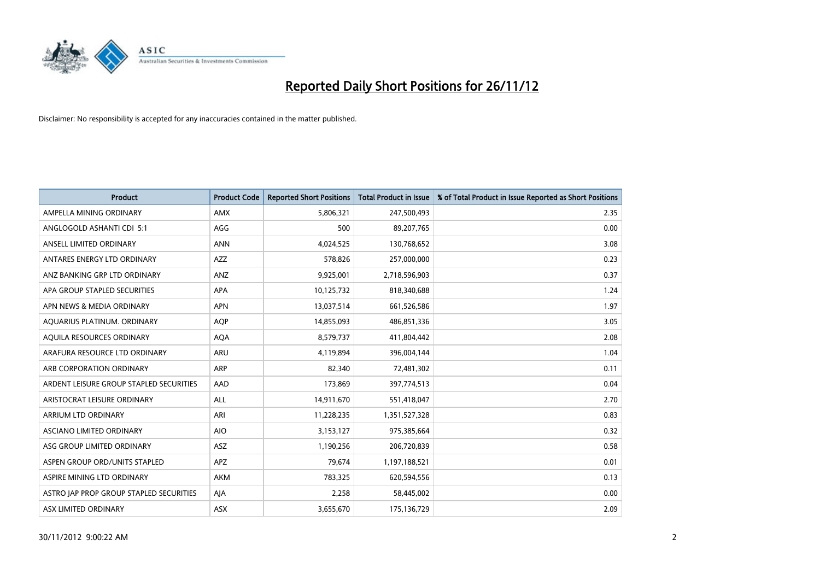

| <b>Product</b>                          | <b>Product Code</b> | <b>Reported Short Positions</b> | <b>Total Product in Issue</b> | % of Total Product in Issue Reported as Short Positions |
|-----------------------------------------|---------------------|---------------------------------|-------------------------------|---------------------------------------------------------|
| AMPELLA MINING ORDINARY                 | <b>AMX</b>          | 5,806,321                       | 247,500,493                   | 2.35                                                    |
| ANGLOGOLD ASHANTI CDI 5:1               | AGG                 | 500                             | 89,207,765                    | 0.00                                                    |
| ANSELL LIMITED ORDINARY                 | <b>ANN</b>          | 4,024,525                       | 130,768,652                   | 3.08                                                    |
| ANTARES ENERGY LTD ORDINARY             | <b>AZZ</b>          | 578,826                         | 257,000,000                   | 0.23                                                    |
| ANZ BANKING GRP LTD ORDINARY            | ANZ                 | 9,925,001                       | 2,718,596,903                 | 0.37                                                    |
| APA GROUP STAPLED SECURITIES            | <b>APA</b>          | 10,125,732                      | 818,340,688                   | 1.24                                                    |
| APN NEWS & MEDIA ORDINARY               | <b>APN</b>          | 13,037,514                      | 661,526,586                   | 1.97                                                    |
| AQUARIUS PLATINUM. ORDINARY             | <b>AOP</b>          | 14,855,093                      | 486,851,336                   | 3.05                                                    |
| AQUILA RESOURCES ORDINARY               | <b>AQA</b>          | 8,579,737                       | 411,804,442                   | 2.08                                                    |
| ARAFURA RESOURCE LTD ORDINARY           | <b>ARU</b>          | 4,119,894                       | 396,004,144                   | 1.04                                                    |
| ARB CORPORATION ORDINARY                | <b>ARP</b>          | 82,340                          | 72,481,302                    | 0.11                                                    |
| ARDENT LEISURE GROUP STAPLED SECURITIES | AAD                 | 173,869                         | 397,774,513                   | 0.04                                                    |
| ARISTOCRAT LEISURE ORDINARY             | <b>ALL</b>          | 14,911,670                      | 551,418,047                   | 2.70                                                    |
| <b>ARRIUM LTD ORDINARY</b>              | ARI                 | 11,228,235                      | 1,351,527,328                 | 0.83                                                    |
| ASCIANO LIMITED ORDINARY                | <b>AIO</b>          | 3,153,127                       | 975,385,664                   | 0.32                                                    |
| ASG GROUP LIMITED ORDINARY              | ASZ                 | 1,190,256                       | 206,720,839                   | 0.58                                                    |
| ASPEN GROUP ORD/UNITS STAPLED           | <b>APZ</b>          | 79,674                          | 1,197,188,521                 | 0.01                                                    |
| ASPIRE MINING LTD ORDINARY              | <b>AKM</b>          | 783,325                         | 620,594,556                   | 0.13                                                    |
| ASTRO JAP PROP GROUP STAPLED SECURITIES | AIA                 | 2,258                           | 58,445,002                    | 0.00                                                    |
| ASX LIMITED ORDINARY                    | ASX                 | 3,655,670                       | 175,136,729                   | 2.09                                                    |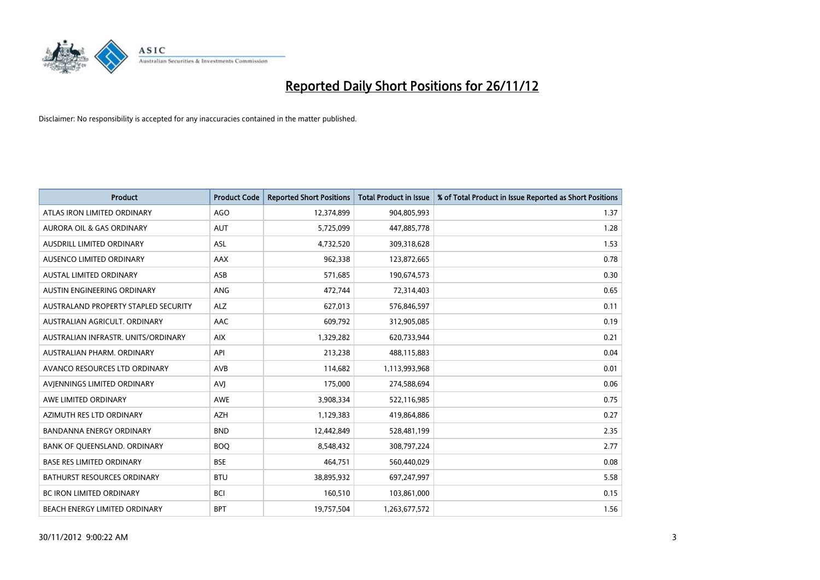

| <b>Product</b>                       | <b>Product Code</b> | <b>Reported Short Positions</b> | <b>Total Product in Issue</b> | % of Total Product in Issue Reported as Short Positions |
|--------------------------------------|---------------------|---------------------------------|-------------------------------|---------------------------------------------------------|
| ATLAS IRON LIMITED ORDINARY          | AGO                 | 12,374,899                      | 904,805,993                   | 1.37                                                    |
| AURORA OIL & GAS ORDINARY            | <b>AUT</b>          | 5,725,099                       | 447,885,778                   | 1.28                                                    |
| <b>AUSDRILL LIMITED ORDINARY</b>     | <b>ASL</b>          | 4,732,520                       | 309,318,628                   | 1.53                                                    |
| AUSENCO LIMITED ORDINARY             | AAX                 | 962,338                         | 123,872,665                   | 0.78                                                    |
| <b>AUSTAL LIMITED ORDINARY</b>       | ASB                 | 571,685                         | 190,674,573                   | 0.30                                                    |
| AUSTIN ENGINEERING ORDINARY          | ANG                 | 472,744                         | 72,314,403                    | 0.65                                                    |
| AUSTRALAND PROPERTY STAPLED SECURITY | <b>ALZ</b>          | 627,013                         | 576,846,597                   | 0.11                                                    |
| AUSTRALIAN AGRICULT, ORDINARY        | <b>AAC</b>          | 609,792                         | 312,905,085                   | 0.19                                                    |
| AUSTRALIAN INFRASTR. UNITS/ORDINARY  | <b>AIX</b>          | 1,329,282                       | 620,733,944                   | 0.21                                                    |
| AUSTRALIAN PHARM, ORDINARY           | API                 | 213,238                         | 488,115,883                   | 0.04                                                    |
| AVANCO RESOURCES LTD ORDINARY        | AVB                 | 114,682                         | 1,113,993,968                 | 0.01                                                    |
| AVIENNINGS LIMITED ORDINARY          | AVI                 | 175,000                         | 274,588,694                   | 0.06                                                    |
| AWE LIMITED ORDINARY                 | <b>AWE</b>          | 3,908,334                       | 522,116,985                   | 0.75                                                    |
| AZIMUTH RES LTD ORDINARY             | <b>AZH</b>          | 1,129,383                       | 419,864,886                   | 0.27                                                    |
| <b>BANDANNA ENERGY ORDINARY</b>      | <b>BND</b>          | 12,442,849                      | 528,481,199                   | 2.35                                                    |
| BANK OF QUEENSLAND. ORDINARY         | <b>BOQ</b>          | 8,548,432                       | 308,797,224                   | 2.77                                                    |
| <b>BASE RES LIMITED ORDINARY</b>     | <b>BSE</b>          | 464,751                         | 560,440,029                   | 0.08                                                    |
| <b>BATHURST RESOURCES ORDINARY</b>   | <b>BTU</b>          | 38,895,932                      | 697,247,997                   | 5.58                                                    |
| <b>BC IRON LIMITED ORDINARY</b>      | <b>BCI</b>          | 160,510                         | 103,861,000                   | 0.15                                                    |
| <b>BEACH ENERGY LIMITED ORDINARY</b> | <b>BPT</b>          | 19,757,504                      | 1,263,677,572                 | 1.56                                                    |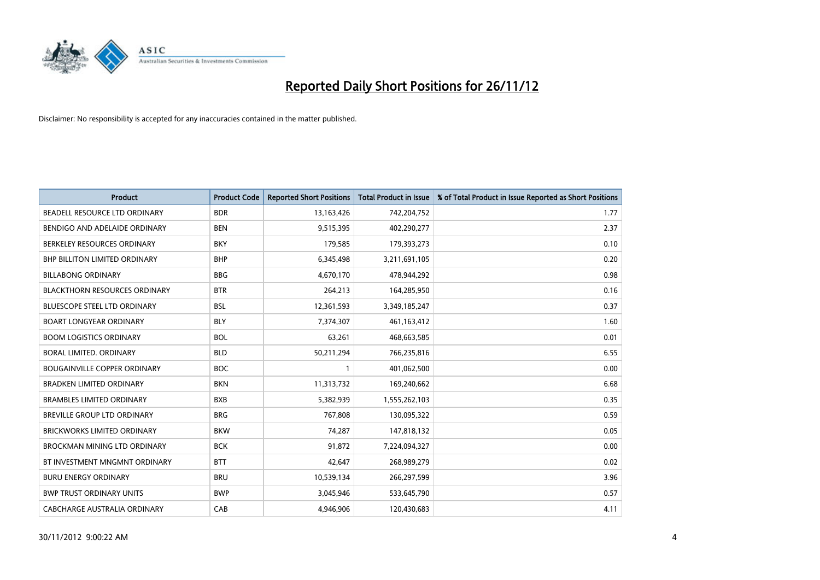

| <b>Product</b>                       | <b>Product Code</b> | <b>Reported Short Positions</b> | <b>Total Product in Issue</b> | % of Total Product in Issue Reported as Short Positions |
|--------------------------------------|---------------------|---------------------------------|-------------------------------|---------------------------------------------------------|
| BEADELL RESOURCE LTD ORDINARY        | <b>BDR</b>          | 13,163,426                      | 742,204,752                   | 1.77                                                    |
| BENDIGO AND ADELAIDE ORDINARY        | <b>BEN</b>          | 9,515,395                       | 402,290,277                   | 2.37                                                    |
| BERKELEY RESOURCES ORDINARY          | <b>BKY</b>          | 179,585                         | 179,393,273                   | 0.10                                                    |
| BHP BILLITON LIMITED ORDINARY        | <b>BHP</b>          | 6,345,498                       | 3,211,691,105                 | 0.20                                                    |
| <b>BILLABONG ORDINARY</b>            | <b>BBG</b>          | 4,670,170                       | 478,944,292                   | 0.98                                                    |
| <b>BLACKTHORN RESOURCES ORDINARY</b> | <b>BTR</b>          | 264,213                         | 164,285,950                   | 0.16                                                    |
| <b>BLUESCOPE STEEL LTD ORDINARY</b>  | <b>BSL</b>          | 12,361,593                      | 3,349,185,247                 | 0.37                                                    |
| <b>BOART LONGYEAR ORDINARY</b>       | <b>BLY</b>          | 7,374,307                       | 461,163,412                   | 1.60                                                    |
| <b>BOOM LOGISTICS ORDINARY</b>       | <b>BOL</b>          | 63,261                          | 468,663,585                   | 0.01                                                    |
| BORAL LIMITED, ORDINARY              | <b>BLD</b>          | 50,211,294                      | 766,235,816                   | 6.55                                                    |
| <b>BOUGAINVILLE COPPER ORDINARY</b>  | <b>BOC</b>          |                                 | 401,062,500                   | 0.00                                                    |
| <b>BRADKEN LIMITED ORDINARY</b>      | <b>BKN</b>          | 11,313,732                      | 169,240,662                   | 6.68                                                    |
| <b>BRAMBLES LIMITED ORDINARY</b>     | <b>BXB</b>          | 5,382,939                       | 1,555,262,103                 | 0.35                                                    |
| <b>BREVILLE GROUP LTD ORDINARY</b>   | <b>BRG</b>          | 767,808                         | 130,095,322                   | 0.59                                                    |
| <b>BRICKWORKS LIMITED ORDINARY</b>   | <b>BKW</b>          | 74,287                          | 147,818,132                   | 0.05                                                    |
| BROCKMAN MINING LTD ORDINARY         | <b>BCK</b>          | 91,872                          | 7,224,094,327                 | 0.00                                                    |
| BT INVESTMENT MNGMNT ORDINARY        | <b>BTT</b>          | 42,647                          | 268,989,279                   | 0.02                                                    |
| <b>BURU ENERGY ORDINARY</b>          | <b>BRU</b>          | 10,539,134                      | 266,297,599                   | 3.96                                                    |
| <b>BWP TRUST ORDINARY UNITS</b>      | <b>BWP</b>          | 3,045,946                       | 533,645,790                   | 0.57                                                    |
| CABCHARGE AUSTRALIA ORDINARY         | CAB                 | 4.946.906                       | 120.430.683                   | 4.11                                                    |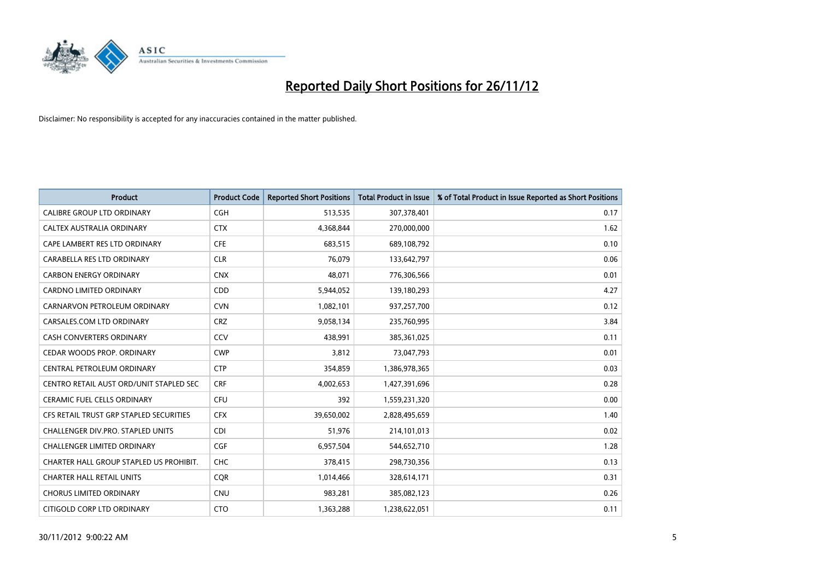

| <b>Product</b>                          | <b>Product Code</b> | <b>Reported Short Positions</b> | <b>Total Product in Issue</b> | % of Total Product in Issue Reported as Short Positions |
|-----------------------------------------|---------------------|---------------------------------|-------------------------------|---------------------------------------------------------|
| <b>CALIBRE GROUP LTD ORDINARY</b>       | <b>CGH</b>          | 513,535                         | 307,378,401                   | 0.17                                                    |
| CALTEX AUSTRALIA ORDINARY               | <b>CTX</b>          | 4,368,844                       | 270,000,000                   | 1.62                                                    |
| CAPE LAMBERT RES LTD ORDINARY           | <b>CFE</b>          | 683,515                         | 689,108,792                   | 0.10                                                    |
| CARABELLA RES LTD ORDINARY              | <b>CLR</b>          | 76,079                          | 133,642,797                   | 0.06                                                    |
| <b>CARBON ENERGY ORDINARY</b>           | <b>CNX</b>          | 48,071                          | 776,306,566                   | 0.01                                                    |
| <b>CARDNO LIMITED ORDINARY</b>          | CDD                 | 5,944,052                       | 139,180,293                   | 4.27                                                    |
| CARNARVON PETROLEUM ORDINARY            | <b>CVN</b>          | 1,082,101                       | 937,257,700                   | 0.12                                                    |
| CARSALES.COM LTD ORDINARY               | <b>CRZ</b>          | 9,058,134                       | 235,760,995                   | 3.84                                                    |
| CASH CONVERTERS ORDINARY                | CCV                 | 438,991                         | 385,361,025                   | 0.11                                                    |
| CEDAR WOODS PROP. ORDINARY              | <b>CWP</b>          | 3,812                           | 73,047,793                    | 0.01                                                    |
| CENTRAL PETROLEUM ORDINARY              | <b>CTP</b>          | 354,859                         | 1,386,978,365                 | 0.03                                                    |
| CENTRO RETAIL AUST ORD/UNIT STAPLED SEC | <b>CRF</b>          | 4,002,653                       | 1,427,391,696                 | 0.28                                                    |
| <b>CERAMIC FUEL CELLS ORDINARY</b>      | <b>CFU</b>          | 392                             | 1,559,231,320                 | 0.00                                                    |
| CFS RETAIL TRUST GRP STAPLED SECURITIES | <b>CFX</b>          | 39,650,002                      | 2,828,495,659                 | 1.40                                                    |
| CHALLENGER DIV.PRO. STAPLED UNITS       | <b>CDI</b>          | 51,976                          | 214,101,013                   | 0.02                                                    |
| CHALLENGER LIMITED ORDINARY             | <b>CGF</b>          | 6,957,504                       | 544,652,710                   | 1.28                                                    |
| CHARTER HALL GROUP STAPLED US PROHIBIT. | <b>CHC</b>          | 378,415                         | 298,730,356                   | 0.13                                                    |
| <b>CHARTER HALL RETAIL UNITS</b>        | <b>CQR</b>          | 1,014,466                       | 328,614,171                   | 0.31                                                    |
| <b>CHORUS LIMITED ORDINARY</b>          | <b>CNU</b>          | 983,281                         | 385,082,123                   | 0.26                                                    |
| CITIGOLD CORP LTD ORDINARY              | <b>CTO</b>          | 1,363,288                       | 1,238,622,051                 | 0.11                                                    |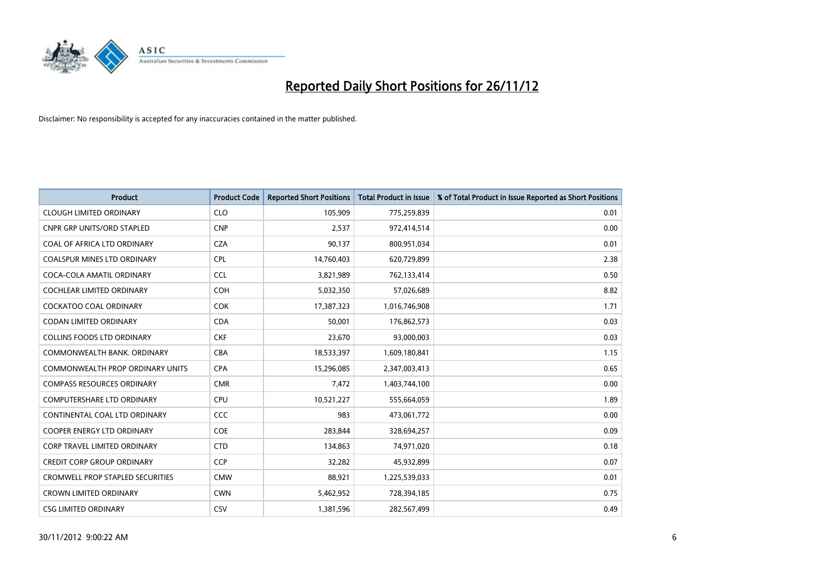

| <b>Product</b>                          | <b>Product Code</b> | <b>Reported Short Positions</b> | <b>Total Product in Issue</b> | % of Total Product in Issue Reported as Short Positions |
|-----------------------------------------|---------------------|---------------------------------|-------------------------------|---------------------------------------------------------|
| <b>CLOUGH LIMITED ORDINARY</b>          | <b>CLO</b>          | 105,909                         | 775,259,839                   | 0.01                                                    |
| <b>CNPR GRP UNITS/ORD STAPLED</b>       | <b>CNP</b>          | 2,537                           | 972,414,514                   | 0.00                                                    |
| <b>COAL OF AFRICA LTD ORDINARY</b>      | <b>CZA</b>          | 90,137                          | 800,951,034                   | 0.01                                                    |
| COALSPUR MINES LTD ORDINARY             | <b>CPL</b>          | 14,760,403                      | 620,729,899                   | 2.38                                                    |
| COCA-COLA AMATIL ORDINARY               | <b>CCL</b>          | 3,821,989                       | 762,133,414                   | 0.50                                                    |
| <b>COCHLEAR LIMITED ORDINARY</b>        | <b>COH</b>          | 5,032,350                       | 57,026,689                    | 8.82                                                    |
| <b>COCKATOO COAL ORDINARY</b>           | <b>COK</b>          | 17,387,323                      | 1,016,746,908                 | 1.71                                                    |
| <b>CODAN LIMITED ORDINARY</b>           | <b>CDA</b>          | 50,001                          | 176,862,573                   | 0.03                                                    |
| COLLINS FOODS LTD ORDINARY              | <b>CKF</b>          | 23,670                          | 93,000,003                    | 0.03                                                    |
| COMMONWEALTH BANK, ORDINARY             | <b>CBA</b>          | 18,533,397                      | 1,609,180,841                 | 1.15                                                    |
| <b>COMMONWEALTH PROP ORDINARY UNITS</b> | <b>CPA</b>          | 15,296,085                      | 2,347,003,413                 | 0.65                                                    |
| <b>COMPASS RESOURCES ORDINARY</b>       | <b>CMR</b>          | 7,472                           | 1,403,744,100                 | 0.00                                                    |
| <b>COMPUTERSHARE LTD ORDINARY</b>       | <b>CPU</b>          | 10,521,227                      | 555,664,059                   | 1.89                                                    |
| CONTINENTAL COAL LTD ORDINARY           | <b>CCC</b>          | 983                             | 473,061,772                   | 0.00                                                    |
| <b>COOPER ENERGY LTD ORDINARY</b>       | <b>COE</b>          | 283,844                         | 328,694,257                   | 0.09                                                    |
| CORP TRAVEL LIMITED ORDINARY            | <b>CTD</b>          | 134,863                         | 74,971,020                    | 0.18                                                    |
| <b>CREDIT CORP GROUP ORDINARY</b>       | <b>CCP</b>          | 32,282                          | 45,932,899                    | 0.07                                                    |
| <b>CROMWELL PROP STAPLED SECURITIES</b> | <b>CMW</b>          | 88,921                          | 1,225,539,033                 | 0.01                                                    |
| <b>CROWN LIMITED ORDINARY</b>           | <b>CWN</b>          | 5,462,952                       | 728,394,185                   | 0.75                                                    |
| <b>CSG LIMITED ORDINARY</b>             | CSV                 | 1,381,596                       | 282,567,499                   | 0.49                                                    |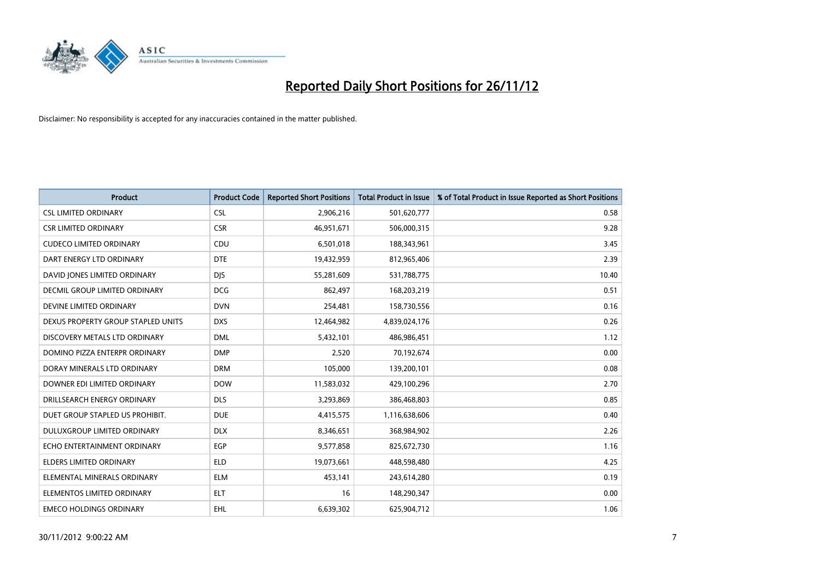

| <b>Product</b>                     | <b>Product Code</b> | <b>Reported Short Positions</b> | <b>Total Product in Issue</b> | % of Total Product in Issue Reported as Short Positions |
|------------------------------------|---------------------|---------------------------------|-------------------------------|---------------------------------------------------------|
| <b>CSL LIMITED ORDINARY</b>        | <b>CSL</b>          | 2,906,216                       | 501,620,777                   | 0.58                                                    |
| <b>CSR LIMITED ORDINARY</b>        | <b>CSR</b>          | 46,951,671                      | 506,000,315                   | 9.28                                                    |
| <b>CUDECO LIMITED ORDINARY</b>     | <b>CDU</b>          | 6,501,018                       | 188,343,961                   | 3.45                                                    |
| DART ENERGY LTD ORDINARY           | <b>DTE</b>          | 19,432,959                      | 812,965,406                   | 2.39                                                    |
| DAVID JONES LIMITED ORDINARY       | <b>DJS</b>          | 55,281,609                      | 531,788,775                   | 10.40                                                   |
| DECMIL GROUP LIMITED ORDINARY      | <b>DCG</b>          | 862,497                         | 168,203,219                   | 0.51                                                    |
| DEVINE LIMITED ORDINARY            | <b>DVN</b>          | 254,481                         | 158,730,556                   | 0.16                                                    |
| DEXUS PROPERTY GROUP STAPLED UNITS | <b>DXS</b>          | 12,464,982                      | 4,839,024,176                 | 0.26                                                    |
| DISCOVERY METALS LTD ORDINARY      | <b>DML</b>          | 5,432,101                       | 486,986,451                   | 1.12                                                    |
| DOMINO PIZZA ENTERPR ORDINARY      | <b>DMP</b>          | 2,520                           | 70,192,674                    | 0.00                                                    |
| DORAY MINERALS LTD ORDINARY        | <b>DRM</b>          | 105,000                         | 139,200,101                   | 0.08                                                    |
| DOWNER EDI LIMITED ORDINARY        | <b>DOW</b>          | 11,583,032                      | 429,100,296                   | 2.70                                                    |
| DRILLSEARCH ENERGY ORDINARY        | <b>DLS</b>          | 3,293,869                       | 386,468,803                   | 0.85                                                    |
| DUET GROUP STAPLED US PROHIBIT.    | <b>DUE</b>          | 4,415,575                       | 1,116,638,606                 | 0.40                                                    |
| DULUXGROUP LIMITED ORDINARY        | <b>DLX</b>          | 8,346,651                       | 368,984,902                   | 2.26                                                    |
| ECHO ENTERTAINMENT ORDINARY        | <b>EGP</b>          | 9,577,858                       | 825,672,730                   | 1.16                                                    |
| <b>ELDERS LIMITED ORDINARY</b>     | <b>ELD</b>          | 19,073,661                      | 448,598,480                   | 4.25                                                    |
| ELEMENTAL MINERALS ORDINARY        | <b>ELM</b>          | 453,141                         | 243,614,280                   | 0.19                                                    |
| ELEMENTOS LIMITED ORDINARY         | <b>ELT</b>          | 16                              | 148,290,347                   | 0.00                                                    |
| <b>EMECO HOLDINGS ORDINARY</b>     | <b>EHL</b>          | 6,639,302                       | 625,904,712                   | 1.06                                                    |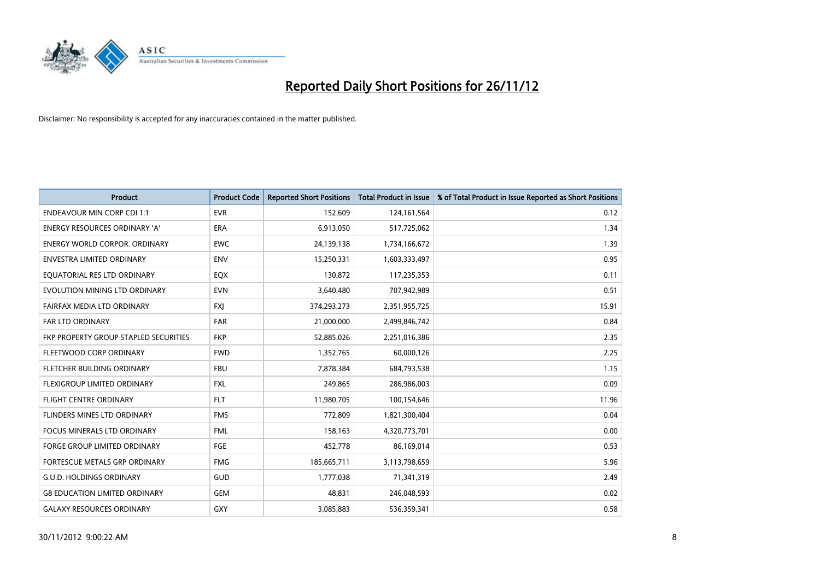

| <b>Product</b>                        | <b>Product Code</b> | <b>Reported Short Positions</b> | <b>Total Product in Issue</b> | % of Total Product in Issue Reported as Short Positions |
|---------------------------------------|---------------------|---------------------------------|-------------------------------|---------------------------------------------------------|
| <b>ENDEAVOUR MIN CORP CDI 1:1</b>     | <b>EVR</b>          | 152,609                         | 124,161,564                   | 0.12                                                    |
| ENERGY RESOURCES ORDINARY 'A'         | <b>ERA</b>          | 6,913,050                       | 517,725,062                   | 1.34                                                    |
| ENERGY WORLD CORPOR, ORDINARY         | <b>EWC</b>          | 24,139,138                      | 1,734,166,672                 | 1.39                                                    |
| ENVESTRA LIMITED ORDINARY             | <b>ENV</b>          | 15,250,331                      | 1,603,333,497                 | 0.95                                                    |
| EOUATORIAL RES LTD ORDINARY           | EQX                 | 130,872                         | 117,235,353                   | 0.11                                                    |
| EVOLUTION MINING LTD ORDINARY         | <b>EVN</b>          | 3,640,480                       | 707,942,989                   | 0.51                                                    |
| FAIRFAX MEDIA LTD ORDINARY            | <b>FXI</b>          | 374,293,273                     | 2,351,955,725                 | 15.91                                                   |
| FAR LTD ORDINARY                      | <b>FAR</b>          | 21,000,000                      | 2,499,846,742                 | 0.84                                                    |
| FKP PROPERTY GROUP STAPLED SECURITIES | <b>FKP</b>          | 52,885,026                      | 2,251,016,386                 | 2.35                                                    |
| FLEETWOOD CORP ORDINARY               | <b>FWD</b>          | 1,352,765                       | 60,000,126                    | 2.25                                                    |
| <b>FLETCHER BUILDING ORDINARY</b>     | <b>FBU</b>          | 7,878,384                       | 684,793,538                   | 1.15                                                    |
| <b>FLEXIGROUP LIMITED ORDINARY</b>    | <b>FXL</b>          | 249,865                         | 286,986,003                   | 0.09                                                    |
| <b>FLIGHT CENTRE ORDINARY</b>         | <b>FLT</b>          | 11,980,705                      | 100,154,646                   | 11.96                                                   |
| FLINDERS MINES LTD ORDINARY           | <b>FMS</b>          | 772,809                         | 1,821,300,404                 | 0.04                                                    |
| <b>FOCUS MINERALS LTD ORDINARY</b>    | <b>FML</b>          | 158,163                         | 4,320,773,701                 | 0.00                                                    |
| FORGE GROUP LIMITED ORDINARY          | FGE                 | 452,778                         | 86,169,014                    | 0.53                                                    |
| FORTESCUE METALS GRP ORDINARY         | <b>FMG</b>          | 185,665,711                     | 3,113,798,659                 | 5.96                                                    |
| <b>G.U.D. HOLDINGS ORDINARY</b>       | <b>GUD</b>          | 1,777,038                       | 71,341,319                    | 2.49                                                    |
| <b>G8 EDUCATION LIMITED ORDINARY</b>  | <b>GEM</b>          | 48,831                          | 246,048,593                   | 0.02                                                    |
| <b>GALAXY RESOURCES ORDINARY</b>      | <b>GXY</b>          | 3,085,883                       | 536,359,341                   | 0.58                                                    |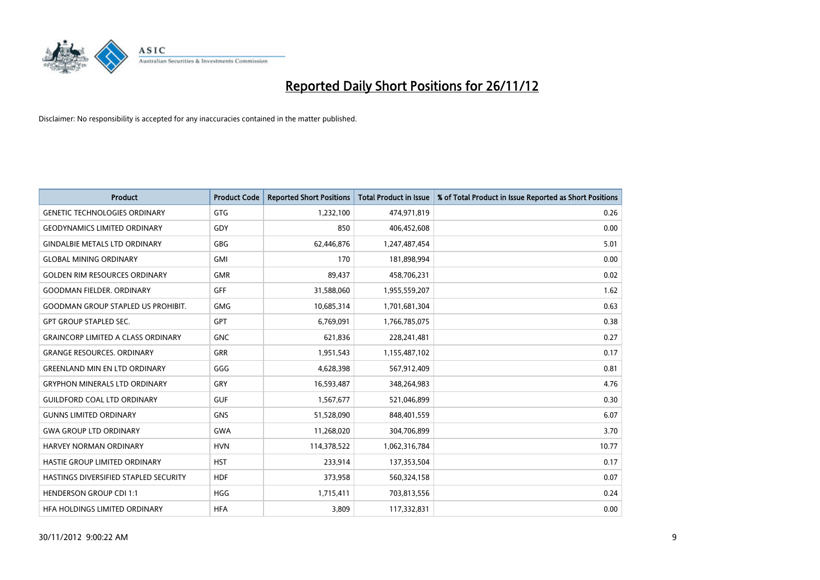

| <b>Product</b>                            | <b>Product Code</b> | <b>Reported Short Positions</b> | <b>Total Product in Issue</b> | % of Total Product in Issue Reported as Short Positions |
|-------------------------------------------|---------------------|---------------------------------|-------------------------------|---------------------------------------------------------|
| <b>GENETIC TECHNOLOGIES ORDINARY</b>      | <b>GTG</b>          | 1,232,100                       | 474,971,819                   | 0.26                                                    |
| <b>GEODYNAMICS LIMITED ORDINARY</b>       | GDY                 | 850                             | 406,452,608                   | 0.00                                                    |
| <b>GINDALBIE METALS LTD ORDINARY</b>      | <b>GBG</b>          | 62,446,876                      | 1,247,487,454                 | 5.01                                                    |
| <b>GLOBAL MINING ORDINARY</b>             | <b>GMI</b>          | 170                             | 181,898,994                   | 0.00                                                    |
| <b>GOLDEN RIM RESOURCES ORDINARY</b>      | <b>GMR</b>          | 89,437                          | 458,706,231                   | 0.02                                                    |
| <b>GOODMAN FIELDER. ORDINARY</b>          | <b>GFF</b>          | 31,588,060                      | 1,955,559,207                 | 1.62                                                    |
| <b>GOODMAN GROUP STAPLED US PROHIBIT.</b> | <b>GMG</b>          | 10,685,314                      | 1,701,681,304                 | 0.63                                                    |
| <b>GPT GROUP STAPLED SEC.</b>             | <b>GPT</b>          | 6,769,091                       | 1,766,785,075                 | 0.38                                                    |
| <b>GRAINCORP LIMITED A CLASS ORDINARY</b> | <b>GNC</b>          | 621,836                         | 228,241,481                   | 0.27                                                    |
| <b>GRANGE RESOURCES, ORDINARY</b>         | <b>GRR</b>          | 1,951,543                       | 1,155,487,102                 | 0.17                                                    |
| <b>GREENLAND MIN EN LTD ORDINARY</b>      | GGG                 | 4,628,398                       | 567,912,409                   | 0.81                                                    |
| <b>GRYPHON MINERALS LTD ORDINARY</b>      | GRY                 | 16,593,487                      | 348,264,983                   | 4.76                                                    |
| <b>GUILDFORD COAL LTD ORDINARY</b>        | <b>GUF</b>          | 1,567,677                       | 521,046,899                   | 0.30                                                    |
| <b>GUNNS LIMITED ORDINARY</b>             | <b>GNS</b>          | 51,528,090                      | 848,401,559                   | 6.07                                                    |
| <b>GWA GROUP LTD ORDINARY</b>             | <b>GWA</b>          | 11,268,020                      | 304,706,899                   | 3.70                                                    |
| <b>HARVEY NORMAN ORDINARY</b>             | <b>HVN</b>          | 114,378,522                     | 1,062,316,784                 | 10.77                                                   |
| HASTIE GROUP LIMITED ORDINARY             | <b>HST</b>          | 233,914                         | 137,353,504                   | 0.17                                                    |
| HASTINGS DIVERSIFIED STAPLED SECURITY     | <b>HDF</b>          | 373,958                         | 560,324,158                   | 0.07                                                    |
| <b>HENDERSON GROUP CDI 1:1</b>            | <b>HGG</b>          | 1,715,411                       | 703,813,556                   | 0.24                                                    |
| HEA HOLDINGS LIMITED ORDINARY             | <b>HFA</b>          | 3,809                           | 117,332,831                   | 0.00                                                    |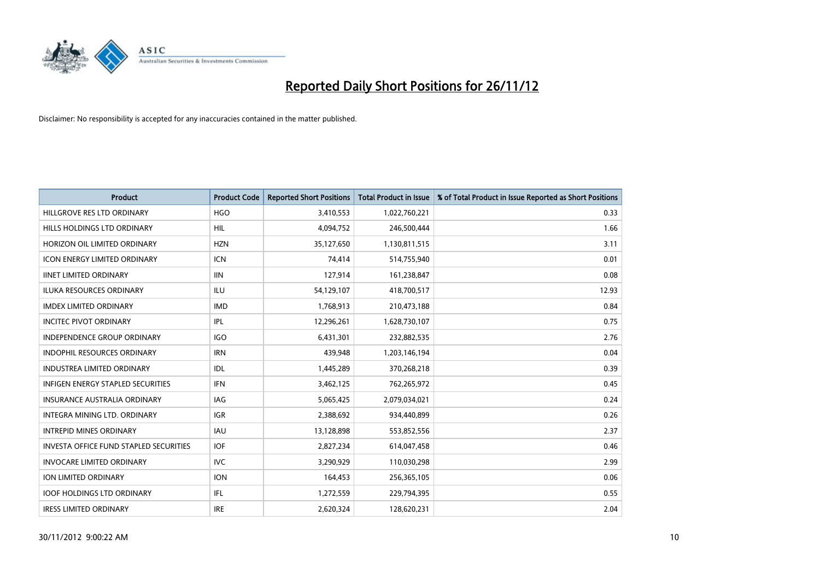

| <b>Product</b>                                | <b>Product Code</b> | <b>Reported Short Positions</b> | <b>Total Product in Issue</b> | % of Total Product in Issue Reported as Short Positions |
|-----------------------------------------------|---------------------|---------------------------------|-------------------------------|---------------------------------------------------------|
| HILLGROVE RES LTD ORDINARY                    | <b>HGO</b>          | 3,410,553                       | 1,022,760,221                 | 0.33                                                    |
| HILLS HOLDINGS LTD ORDINARY                   | <b>HIL</b>          | 4,094,752                       | 246,500,444                   | 1.66                                                    |
| HORIZON OIL LIMITED ORDINARY                  | <b>HZN</b>          | 35,127,650                      | 1,130,811,515                 | 3.11                                                    |
| ICON ENERGY LIMITED ORDINARY                  | <b>ICN</b>          | 74,414                          | 514,755,940                   | 0.01                                                    |
| <b>IINET LIMITED ORDINARY</b>                 | <b>IIN</b>          | 127,914                         | 161,238,847                   | 0.08                                                    |
| <b>ILUKA RESOURCES ORDINARY</b>               | ILU                 | 54,129,107                      | 418,700,517                   | 12.93                                                   |
| <b>IMDEX LIMITED ORDINARY</b>                 | <b>IMD</b>          | 1,768,913                       | 210,473,188                   | 0.84                                                    |
| <b>INCITEC PIVOT ORDINARY</b>                 | IPL                 | 12,296,261                      | 1,628,730,107                 | 0.75                                                    |
| INDEPENDENCE GROUP ORDINARY                   | <b>IGO</b>          | 6,431,301                       | 232,882,535                   | 2.76                                                    |
| <b>INDOPHIL RESOURCES ORDINARY</b>            | <b>IRN</b>          | 439,948                         | 1,203,146,194                 | 0.04                                                    |
| <b>INDUSTREA LIMITED ORDINARY</b>             | IDL.                | 1,445,289                       | 370,268,218                   | 0.39                                                    |
| <b>INFIGEN ENERGY STAPLED SECURITIES</b>      | <b>IFN</b>          | 3,462,125                       | 762,265,972                   | 0.45                                                    |
| <b>INSURANCE AUSTRALIA ORDINARY</b>           | <b>IAG</b>          | 5,065,425                       | 2,079,034,021                 | 0.24                                                    |
| <b>INTEGRA MINING LTD, ORDINARY</b>           | <b>IGR</b>          | 2,388,692                       | 934,440,899                   | 0.26                                                    |
| <b>INTREPID MINES ORDINARY</b>                | <b>IAU</b>          | 13,128,898                      | 553,852,556                   | 2.37                                                    |
| <b>INVESTA OFFICE FUND STAPLED SECURITIES</b> | <b>IOF</b>          | 2,827,234                       | 614,047,458                   | 0.46                                                    |
| <b>INVOCARE LIMITED ORDINARY</b>              | <b>IVC</b>          | 3,290,929                       | 110,030,298                   | 2.99                                                    |
| ION LIMITED ORDINARY                          | <b>ION</b>          | 164,453                         | 256,365,105                   | 0.06                                                    |
| <b>IOOF HOLDINGS LTD ORDINARY</b>             | <b>IFL</b>          | 1,272,559                       | 229,794,395                   | 0.55                                                    |
| <b>IRESS LIMITED ORDINARY</b>                 | <b>IRE</b>          | 2,620,324                       | 128.620.231                   | 2.04                                                    |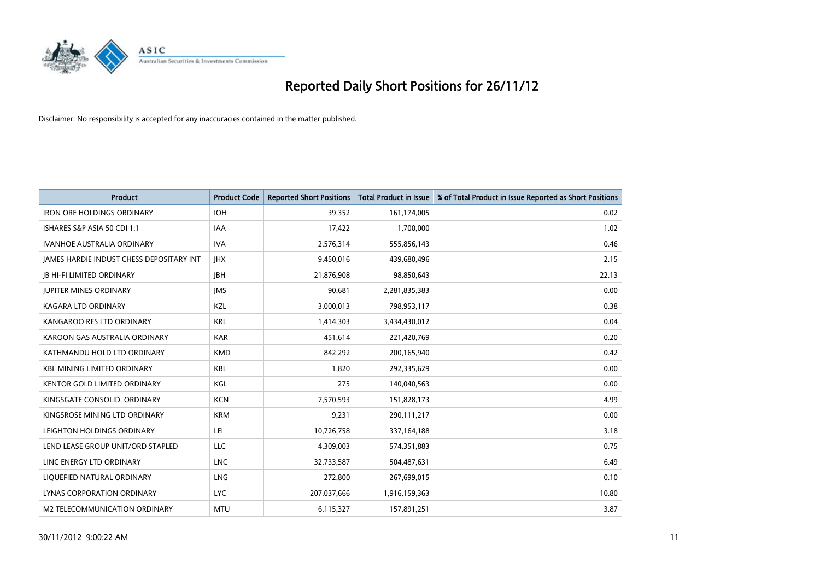

| <b>Product</b>                           | <b>Product Code</b> | <b>Reported Short Positions</b> | <b>Total Product in Issue</b> | % of Total Product in Issue Reported as Short Positions |
|------------------------------------------|---------------------|---------------------------------|-------------------------------|---------------------------------------------------------|
| <b>IRON ORE HOLDINGS ORDINARY</b>        | <b>IOH</b>          | 39,352                          | 161,174,005                   | 0.02                                                    |
| ISHARES S&P ASIA 50 CDI 1:1              | IAA                 | 17,422                          | 1,700,000                     | 1.02                                                    |
| <b>IVANHOE AUSTRALIA ORDINARY</b>        | <b>IVA</b>          | 2,576,314                       | 555,856,143                   | 0.46                                                    |
| JAMES HARDIE INDUST CHESS DEPOSITARY INT | <b>IHX</b>          | 9,450,016                       | 439,680,496                   | 2.15                                                    |
| <b>IB HI-FI LIMITED ORDINARY</b>         | <b>IBH</b>          | 21,876,908                      | 98,850,643                    | 22.13                                                   |
| <b>JUPITER MINES ORDINARY</b>            | <b>IMS</b>          | 90,681                          | 2,281,835,383                 | 0.00                                                    |
| <b>KAGARA LTD ORDINARY</b>               | KZL                 | 3,000,013                       | 798,953,117                   | 0.38                                                    |
| KANGAROO RES LTD ORDINARY                | <b>KRL</b>          | 1,414,303                       | 3,434,430,012                 | 0.04                                                    |
| KAROON GAS AUSTRALIA ORDINARY            | <b>KAR</b>          | 451,614                         | 221,420,769                   | 0.20                                                    |
| KATHMANDU HOLD LTD ORDINARY              | <b>KMD</b>          | 842,292                         | 200,165,940                   | 0.42                                                    |
| <b>KBL MINING LIMITED ORDINARY</b>       | <b>KBL</b>          | 1,820                           | 292,335,629                   | 0.00                                                    |
| <b>KENTOR GOLD LIMITED ORDINARY</b>      | KGL                 | 275                             | 140,040,563                   | 0.00                                                    |
| KINGSGATE CONSOLID. ORDINARY             | <b>KCN</b>          | 7,570,593                       | 151,828,173                   | 4.99                                                    |
| KINGSROSE MINING LTD ORDINARY            | <b>KRM</b>          | 9,231                           | 290,111,217                   | 0.00                                                    |
| LEIGHTON HOLDINGS ORDINARY               | LEI                 | 10,726,758                      | 337,164,188                   | 3.18                                                    |
| LEND LEASE GROUP UNIT/ORD STAPLED        | LLC                 | 4,309,003                       | 574,351,883                   | 0.75                                                    |
| LINC ENERGY LTD ORDINARY                 | <b>LNC</b>          | 32,733,587                      | 504,487,631                   | 6.49                                                    |
| LIQUEFIED NATURAL ORDINARY               | <b>LNG</b>          | 272,800                         | 267,699,015                   | 0.10                                                    |
| <b>LYNAS CORPORATION ORDINARY</b>        | <b>LYC</b>          | 207,037,666                     | 1,916,159,363                 | 10.80                                                   |
| M2 TELECOMMUNICATION ORDINARY            | <b>MTU</b>          | 6,115,327                       | 157,891,251                   | 3.87                                                    |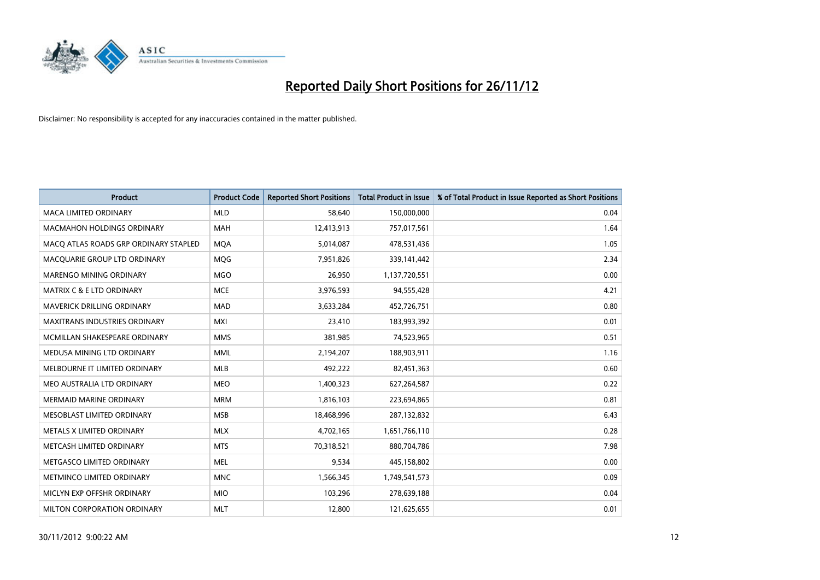

| <b>Product</b>                        | <b>Product Code</b> | <b>Reported Short Positions</b> | <b>Total Product in Issue</b> | % of Total Product in Issue Reported as Short Positions |
|---------------------------------------|---------------------|---------------------------------|-------------------------------|---------------------------------------------------------|
| <b>MACA LIMITED ORDINARY</b>          | <b>MLD</b>          | 58.640                          | 150,000,000                   | 0.04                                                    |
| <b>MACMAHON HOLDINGS ORDINARY</b>     | <b>MAH</b>          | 12,413,913                      | 757,017,561                   | 1.64                                                    |
| MACO ATLAS ROADS GRP ORDINARY STAPLED | <b>MQA</b>          | 5,014,087                       | 478,531,436                   | 1.05                                                    |
| MACQUARIE GROUP LTD ORDINARY          | <b>MOG</b>          | 7,951,826                       | 339,141,442                   | 2.34                                                    |
| <b>MARENGO MINING ORDINARY</b>        | <b>MGO</b>          | 26,950                          | 1,137,720,551                 | 0.00                                                    |
| MATRIX C & E LTD ORDINARY             | <b>MCE</b>          | 3,976,593                       | 94,555,428                    | 4.21                                                    |
| <b>MAVERICK DRILLING ORDINARY</b>     | <b>MAD</b>          | 3,633,284                       | 452,726,751                   | 0.80                                                    |
| <b>MAXITRANS INDUSTRIES ORDINARY</b>  | <b>MXI</b>          | 23,410                          | 183,993,392                   | 0.01                                                    |
| MCMILLAN SHAKESPEARE ORDINARY         | <b>MMS</b>          | 381,985                         | 74,523,965                    | 0.51                                                    |
| MEDUSA MINING LTD ORDINARY            | <b>MML</b>          | 2,194,207                       | 188,903,911                   | 1.16                                                    |
| MELBOURNE IT LIMITED ORDINARY         | <b>MLB</b>          | 492,222                         | 82,451,363                    | 0.60                                                    |
| MEO AUSTRALIA LTD ORDINARY            | <b>MEO</b>          | 1,400,323                       | 627,264,587                   | 0.22                                                    |
| <b>MERMAID MARINE ORDINARY</b>        | <b>MRM</b>          | 1,816,103                       | 223,694,865                   | 0.81                                                    |
| MESOBLAST LIMITED ORDINARY            | <b>MSB</b>          | 18,468,996                      | 287,132,832                   | 6.43                                                    |
| METALS X LIMITED ORDINARY             | <b>MLX</b>          | 4,702,165                       | 1,651,766,110                 | 0.28                                                    |
| METCASH LIMITED ORDINARY              | <b>MTS</b>          | 70,318,521                      | 880,704,786                   | 7.98                                                    |
| METGASCO LIMITED ORDINARY             | <b>MEL</b>          | 9,534                           | 445,158,802                   | 0.00                                                    |
| METMINCO LIMITED ORDINARY             | <b>MNC</b>          | 1,566,345                       | 1,749,541,573                 | 0.09                                                    |
| MICLYN EXP OFFSHR ORDINARY            | <b>MIO</b>          | 103,296                         | 278,639,188                   | 0.04                                                    |
| <b>MILTON CORPORATION ORDINARY</b>    | <b>MLT</b>          | 12,800                          | 121,625,655                   | 0.01                                                    |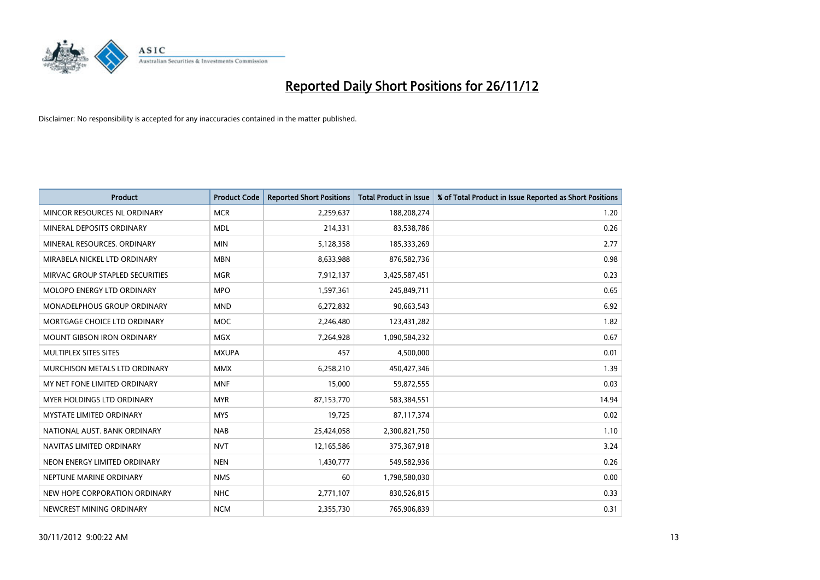

| <b>Product</b>                       | <b>Product Code</b> | <b>Reported Short Positions</b> | <b>Total Product in Issue</b> | % of Total Product in Issue Reported as Short Positions |
|--------------------------------------|---------------------|---------------------------------|-------------------------------|---------------------------------------------------------|
| MINCOR RESOURCES NL ORDINARY         | <b>MCR</b>          | 2,259,637                       | 188,208,274                   | 1.20                                                    |
| MINERAL DEPOSITS ORDINARY            | <b>MDL</b>          | 214,331                         | 83,538,786                    | 0.26                                                    |
| MINERAL RESOURCES. ORDINARY          | <b>MIN</b>          | 5,128,358                       | 185,333,269                   | 2.77                                                    |
| MIRABELA NICKEL LTD ORDINARY         | <b>MBN</b>          | 8,633,988                       | 876,582,736                   | 0.98                                                    |
| MIRVAC GROUP STAPLED SECURITIES      | <b>MGR</b>          | 7,912,137                       | 3,425,587,451                 | 0.23                                                    |
| MOLOPO ENERGY LTD ORDINARY           | <b>MPO</b>          | 1,597,361                       | 245,849,711                   | 0.65                                                    |
| MONADELPHOUS GROUP ORDINARY          | <b>MND</b>          | 6,272,832                       | 90,663,543                    | 6.92                                                    |
| MORTGAGE CHOICE LTD ORDINARY         | <b>MOC</b>          | 2,246,480                       | 123,431,282                   | 1.82                                                    |
| <b>MOUNT GIBSON IRON ORDINARY</b>    | <b>MGX</b>          | 7,264,928                       | 1,090,584,232                 | 0.67                                                    |
| MULTIPLEX SITES SITES                | <b>MXUPA</b>        | 457                             | 4,500,000                     | 0.01                                                    |
| <b>MURCHISON METALS LTD ORDINARY</b> | <b>MMX</b>          | 6,258,210                       | 450,427,346                   | 1.39                                                    |
| MY NET FONE LIMITED ORDINARY         | <b>MNF</b>          | 15,000                          | 59,872,555                    | 0.03                                                    |
| <b>MYER HOLDINGS LTD ORDINARY</b>    | <b>MYR</b>          | 87,153,770                      | 583,384,551                   | 14.94                                                   |
| <b>MYSTATE LIMITED ORDINARY</b>      | <b>MYS</b>          | 19,725                          | 87,117,374                    | 0.02                                                    |
| NATIONAL AUST. BANK ORDINARY         | <b>NAB</b>          | 25,424,058                      | 2,300,821,750                 | 1.10                                                    |
| NAVITAS LIMITED ORDINARY             | <b>NVT</b>          | 12,165,586                      | 375,367,918                   | 3.24                                                    |
| NEON ENERGY LIMITED ORDINARY         | <b>NEN</b>          | 1,430,777                       | 549,582,936                   | 0.26                                                    |
| NEPTUNE MARINE ORDINARY              | <b>NMS</b>          | 60                              | 1,798,580,030                 | 0.00                                                    |
| NEW HOPE CORPORATION ORDINARY        | <b>NHC</b>          | 2,771,107                       | 830,526,815                   | 0.33                                                    |
| NEWCREST MINING ORDINARY             | <b>NCM</b>          | 2,355,730                       | 765,906,839                   | 0.31                                                    |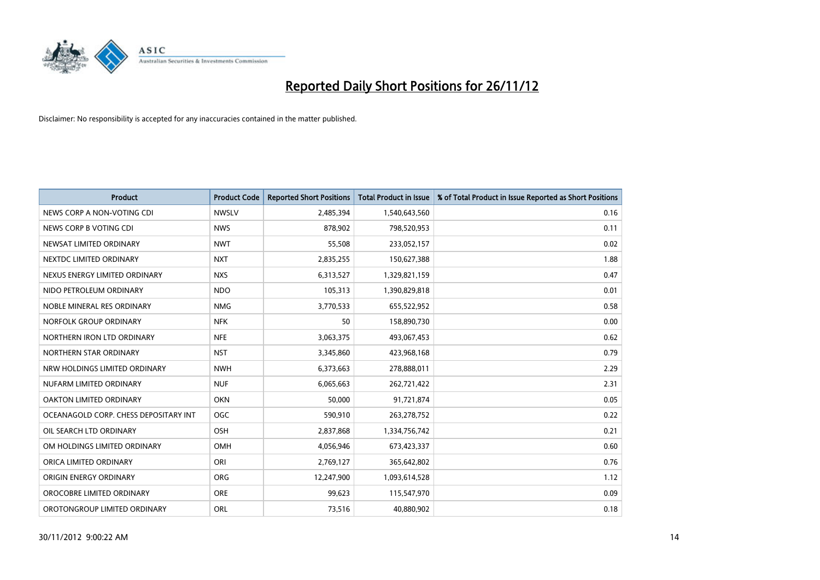

| <b>Product</b>                        | <b>Product Code</b> | <b>Reported Short Positions</b> | <b>Total Product in Issue</b> | % of Total Product in Issue Reported as Short Positions |
|---------------------------------------|---------------------|---------------------------------|-------------------------------|---------------------------------------------------------|
| NEWS CORP A NON-VOTING CDI            | <b>NWSLV</b>        | 2,485,394                       | 1,540,643,560                 | 0.16                                                    |
| NEWS CORP B VOTING CDI                | <b>NWS</b>          | 878,902                         | 798,520,953                   | 0.11                                                    |
| NEWSAT LIMITED ORDINARY               | <b>NWT</b>          | 55,508                          | 233,052,157                   | 0.02                                                    |
| NEXTDC LIMITED ORDINARY               | <b>NXT</b>          | 2,835,255                       | 150,627,388                   | 1.88                                                    |
| NEXUS ENERGY LIMITED ORDINARY         | <b>NXS</b>          | 6,313,527                       | 1,329,821,159                 | 0.47                                                    |
| NIDO PETROLEUM ORDINARY               | <b>NDO</b>          | 105,313                         | 1,390,829,818                 | 0.01                                                    |
| NOBLE MINERAL RES ORDINARY            | <b>NMG</b>          | 3,770,533                       | 655,522,952                   | 0.58                                                    |
| NORFOLK GROUP ORDINARY                | <b>NFK</b>          | 50                              | 158,890,730                   | 0.00                                                    |
| NORTHERN IRON LTD ORDINARY            | <b>NFE</b>          | 3,063,375                       | 493,067,453                   | 0.62                                                    |
| NORTHERN STAR ORDINARY                | <b>NST</b>          | 3,345,860                       | 423,968,168                   | 0.79                                                    |
| NRW HOLDINGS LIMITED ORDINARY         | <b>NWH</b>          | 6,373,663                       | 278,888,011                   | 2.29                                                    |
| NUFARM LIMITED ORDINARY               | <b>NUF</b>          | 6,065,663                       | 262,721,422                   | 2.31                                                    |
| OAKTON LIMITED ORDINARY               | <b>OKN</b>          | 50,000                          | 91,721,874                    | 0.05                                                    |
| OCEANAGOLD CORP. CHESS DEPOSITARY INT | <b>OGC</b>          | 590,910                         | 263,278,752                   | 0.22                                                    |
| OIL SEARCH LTD ORDINARY               | OSH                 | 2,837,868                       | 1,334,756,742                 | 0.21                                                    |
| OM HOLDINGS LIMITED ORDINARY          | OMH                 | 4,056,946                       | 673,423,337                   | 0.60                                                    |
| ORICA LIMITED ORDINARY                | ORI                 | 2,769,127                       | 365,642,802                   | 0.76                                                    |
| ORIGIN ENERGY ORDINARY                | <b>ORG</b>          | 12,247,900                      | 1,093,614,528                 | 1.12                                                    |
| OROCOBRE LIMITED ORDINARY             | <b>ORE</b>          | 99,623                          | 115,547,970                   | 0.09                                                    |
| OROTONGROUP LIMITED ORDINARY          | <b>ORL</b>          | 73,516                          | 40,880,902                    | 0.18                                                    |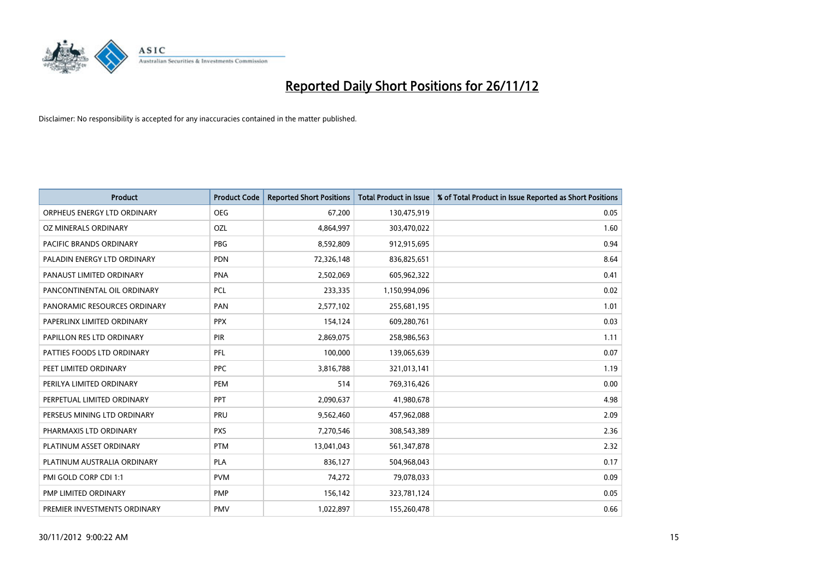

| <b>Product</b>               | <b>Product Code</b> | <b>Reported Short Positions</b> | <b>Total Product in Issue</b> | % of Total Product in Issue Reported as Short Positions |
|------------------------------|---------------------|---------------------------------|-------------------------------|---------------------------------------------------------|
| ORPHEUS ENERGY LTD ORDINARY  | <b>OEG</b>          | 67,200                          | 130,475,919                   | 0.05                                                    |
| OZ MINERALS ORDINARY         | OZL                 | 4,864,997                       | 303,470,022                   | 1.60                                                    |
| PACIFIC BRANDS ORDINARY      | <b>PBG</b>          | 8,592,809                       | 912,915,695                   | 0.94                                                    |
| PALADIN ENERGY LTD ORDINARY  | <b>PDN</b>          | 72,326,148                      | 836,825,651                   | 8.64                                                    |
| PANAUST LIMITED ORDINARY     | <b>PNA</b>          | 2,502,069                       | 605,962,322                   | 0.41                                                    |
| PANCONTINENTAL OIL ORDINARY  | PCL                 | 233,335                         | 1,150,994,096                 | 0.02                                                    |
| PANORAMIC RESOURCES ORDINARY | PAN                 | 2,577,102                       | 255,681,195                   | 1.01                                                    |
| PAPERLINX LIMITED ORDINARY   | <b>PPX</b>          | 154,124                         | 609,280,761                   | 0.03                                                    |
| PAPILLON RES LTD ORDINARY    | PIR                 | 2,869,075                       | 258,986,563                   | 1.11                                                    |
| PATTIES FOODS LTD ORDINARY   | PFL                 | 100,000                         | 139,065,639                   | 0.07                                                    |
| PEET LIMITED ORDINARY        | <b>PPC</b>          | 3,816,788                       | 321,013,141                   | 1.19                                                    |
| PERILYA LIMITED ORDINARY     | PEM                 | 514                             | 769,316,426                   | 0.00                                                    |
| PERPETUAL LIMITED ORDINARY   | <b>PPT</b>          | 2,090,637                       | 41,980,678                    | 4.98                                                    |
| PERSEUS MINING LTD ORDINARY  | PRU                 | 9,562,460                       | 457,962,088                   | 2.09                                                    |
| PHARMAXIS LTD ORDINARY       | <b>PXS</b>          | 7,270,546                       | 308,543,389                   | 2.36                                                    |
| PLATINUM ASSET ORDINARY      | <b>PTM</b>          | 13,041,043                      | 561,347,878                   | 2.32                                                    |
| PLATINUM AUSTRALIA ORDINARY  | <b>PLA</b>          | 836,127                         | 504,968,043                   | 0.17                                                    |
| PMI GOLD CORP CDI 1:1        | <b>PVM</b>          | 74,272                          | 79,078,033                    | 0.09                                                    |
| PMP LIMITED ORDINARY         | PMP                 | 156,142                         | 323,781,124                   | 0.05                                                    |
| PREMIER INVESTMENTS ORDINARY | <b>PMV</b>          | 1,022,897                       | 155,260,478                   | 0.66                                                    |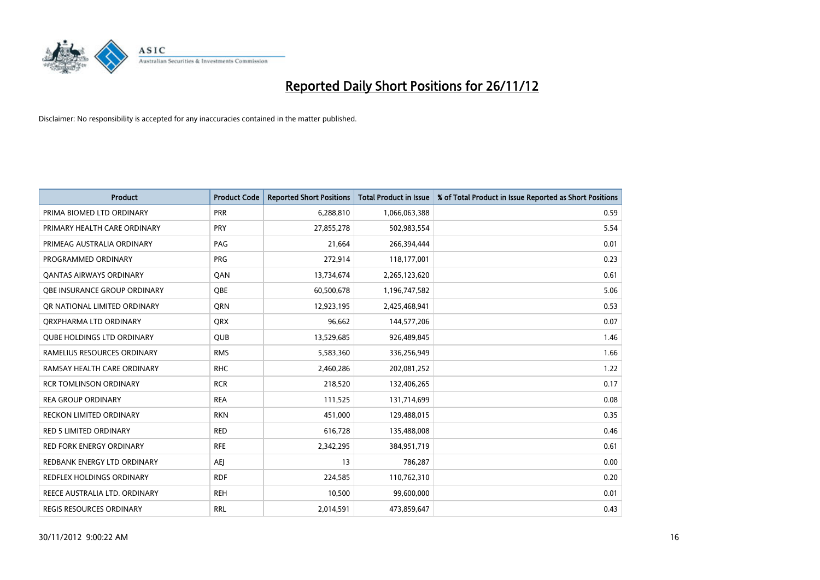

| <b>Product</b>                    | <b>Product Code</b> | <b>Reported Short Positions</b> | <b>Total Product in Issue</b> | % of Total Product in Issue Reported as Short Positions |
|-----------------------------------|---------------------|---------------------------------|-------------------------------|---------------------------------------------------------|
| PRIMA BIOMED LTD ORDINARY         | <b>PRR</b>          | 6,288,810                       | 1,066,063,388                 | 0.59                                                    |
| PRIMARY HEALTH CARE ORDINARY      | <b>PRY</b>          | 27,855,278                      | 502,983,554                   | 5.54                                                    |
| PRIMEAG AUSTRALIA ORDINARY        | PAG                 | 21,664                          | 266,394,444                   | 0.01                                                    |
| PROGRAMMED ORDINARY               | <b>PRG</b>          | 272,914                         | 118,177,001                   | 0.23                                                    |
| OANTAS AIRWAYS ORDINARY           | QAN                 | 13,734,674                      | 2,265,123,620                 | 0.61                                                    |
| OBE INSURANCE GROUP ORDINARY      | <b>OBE</b>          | 60,500,678                      | 1,196,747,582                 | 5.06                                                    |
| OR NATIONAL LIMITED ORDINARY      | <b>ORN</b>          | 12,923,195                      | 2,425,468,941                 | 0.53                                                    |
| ORXPHARMA LTD ORDINARY            | <b>ORX</b>          | 96,662                          | 144,577,206                   | 0.07                                                    |
| <b>QUBE HOLDINGS LTD ORDINARY</b> | <b>QUB</b>          | 13,529,685                      | 926,489,845                   | 1.46                                                    |
| RAMELIUS RESOURCES ORDINARY       | <b>RMS</b>          | 5,583,360                       | 336,256,949                   | 1.66                                                    |
| RAMSAY HEALTH CARE ORDINARY       | <b>RHC</b>          | 2,460,286                       | 202,081,252                   | 1.22                                                    |
| <b>RCR TOMLINSON ORDINARY</b>     | <b>RCR</b>          | 218,520                         | 132,406,265                   | 0.17                                                    |
| <b>REA GROUP ORDINARY</b>         | <b>REA</b>          | 111,525                         | 131,714,699                   | 0.08                                                    |
| <b>RECKON LIMITED ORDINARY</b>    | <b>RKN</b>          | 451,000                         | 129,488,015                   | 0.35                                                    |
| <b>RED 5 LIMITED ORDINARY</b>     | <b>RED</b>          | 616,728                         | 135,488,008                   | 0.46                                                    |
| RED FORK ENERGY ORDINARY          | <b>RFE</b>          | 2,342,295                       | 384,951,719                   | 0.61                                                    |
| REDBANK ENERGY LTD ORDINARY       | <b>AEJ</b>          | 13                              | 786,287                       | 0.00                                                    |
| REDFLEX HOLDINGS ORDINARY         | <b>RDF</b>          | 224,585                         | 110,762,310                   | 0.20                                                    |
| REECE AUSTRALIA LTD. ORDINARY     | <b>REH</b>          | 10,500                          | 99,600,000                    | 0.01                                                    |
| <b>REGIS RESOURCES ORDINARY</b>   | <b>RRL</b>          | 2,014,591                       | 473,859,647                   | 0.43                                                    |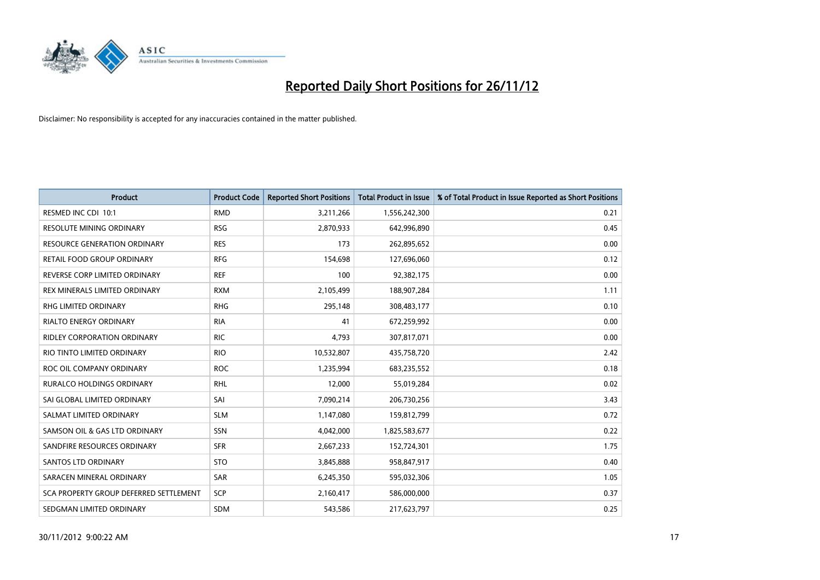

| <b>Product</b>                         | <b>Product Code</b> | <b>Reported Short Positions</b> | <b>Total Product in Issue</b> | % of Total Product in Issue Reported as Short Positions |
|----------------------------------------|---------------------|---------------------------------|-------------------------------|---------------------------------------------------------|
| RESMED INC CDI 10:1                    | <b>RMD</b>          | 3,211,266                       | 1,556,242,300                 | 0.21                                                    |
| RESOLUTE MINING ORDINARY               | <b>RSG</b>          | 2,870,933                       | 642,996,890                   | 0.45                                                    |
| <b>RESOURCE GENERATION ORDINARY</b>    | <b>RES</b>          | 173                             | 262,895,652                   | 0.00                                                    |
| RETAIL FOOD GROUP ORDINARY             | <b>RFG</b>          | 154,698                         | 127,696,060                   | 0.12                                                    |
| REVERSE CORP LIMITED ORDINARY          | <b>REF</b>          | 100                             | 92,382,175                    | 0.00                                                    |
| REX MINERALS LIMITED ORDINARY          | <b>RXM</b>          | 2,105,499                       | 188,907,284                   | 1.11                                                    |
| RHG LIMITED ORDINARY                   | <b>RHG</b>          | 295,148                         | 308,483,177                   | 0.10                                                    |
| RIALTO ENERGY ORDINARY                 | <b>RIA</b>          | 41                              | 672,259,992                   | 0.00                                                    |
| RIDLEY CORPORATION ORDINARY            | <b>RIC</b>          | 4,793                           | 307,817,071                   | 0.00                                                    |
| RIO TINTO LIMITED ORDINARY             | <b>RIO</b>          | 10,532,807                      | 435,758,720                   | 2.42                                                    |
| ROC OIL COMPANY ORDINARY               | <b>ROC</b>          | 1,235,994                       | 683,235,552                   | 0.18                                                    |
| RURALCO HOLDINGS ORDINARY              | <b>RHL</b>          | 12,000                          | 55,019,284                    | 0.02                                                    |
| SAI GLOBAL LIMITED ORDINARY            | SAI                 | 7,090,214                       | 206,730,256                   | 3.43                                                    |
| SALMAT LIMITED ORDINARY                | <b>SLM</b>          | 1,147,080                       | 159,812,799                   | 0.72                                                    |
| SAMSON OIL & GAS LTD ORDINARY          | SSN                 | 4,042,000                       | 1,825,583,677                 | 0.22                                                    |
| SANDFIRE RESOURCES ORDINARY            | <b>SFR</b>          | 2,667,233                       | 152,724,301                   | 1.75                                                    |
| <b>SANTOS LTD ORDINARY</b>             | <b>STO</b>          | 3,845,888                       | 958,847,917                   | 0.40                                                    |
| SARACEN MINERAL ORDINARY               | <b>SAR</b>          | 6,245,350                       | 595,032,306                   | 1.05                                                    |
| SCA PROPERTY GROUP DEFERRED SETTLEMENT | <b>SCP</b>          | 2,160,417                       | 586,000,000                   | 0.37                                                    |
| SEDGMAN LIMITED ORDINARY               | <b>SDM</b>          | 543,586                         | 217,623,797                   | 0.25                                                    |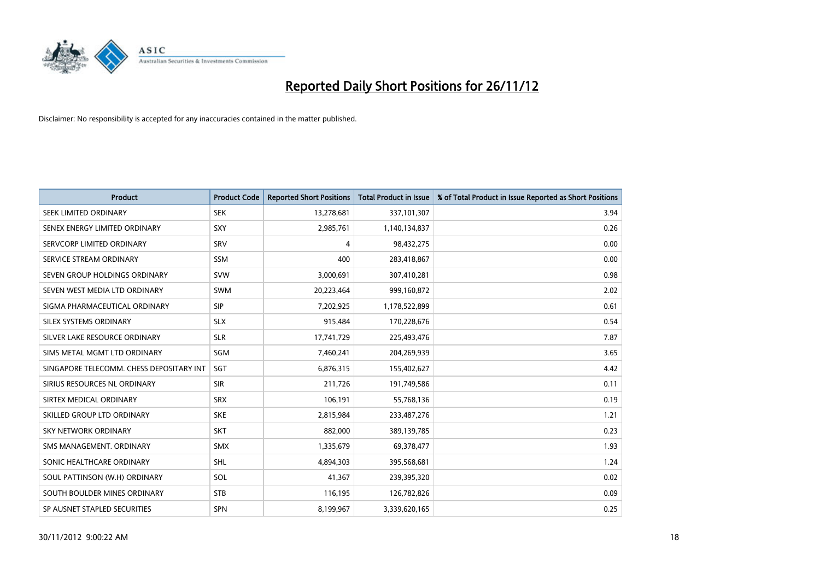

| <b>Product</b>                           | <b>Product Code</b> | <b>Reported Short Positions</b> | <b>Total Product in Issue</b> | % of Total Product in Issue Reported as Short Positions |
|------------------------------------------|---------------------|---------------------------------|-------------------------------|---------------------------------------------------------|
| SEEK LIMITED ORDINARY                    | <b>SEK</b>          | 13,278,681                      | 337,101,307                   | 3.94                                                    |
| SENEX ENERGY LIMITED ORDINARY            | SXY                 | 2,985,761                       | 1,140,134,837                 | 0.26                                                    |
| SERVCORP LIMITED ORDINARY                | SRV                 | 4                               | 98,432,275                    | 0.00                                                    |
| SERVICE STREAM ORDINARY                  | <b>SSM</b>          | 400                             | 283,418,867                   | 0.00                                                    |
| SEVEN GROUP HOLDINGS ORDINARY            | <b>SVW</b>          | 3,000,691                       | 307,410,281                   | 0.98                                                    |
| SEVEN WEST MEDIA LTD ORDINARY            | <b>SWM</b>          | 20,223,464                      | 999,160,872                   | 2.02                                                    |
| SIGMA PHARMACEUTICAL ORDINARY            | <b>SIP</b>          | 7,202,925                       | 1,178,522,899                 | 0.61                                                    |
| SILEX SYSTEMS ORDINARY                   | <b>SLX</b>          | 915,484                         | 170,228,676                   | 0.54                                                    |
| SILVER LAKE RESOURCE ORDINARY            | <b>SLR</b>          | 17,741,729                      | 225,493,476                   | 7.87                                                    |
| SIMS METAL MGMT LTD ORDINARY             | SGM                 | 7,460,241                       | 204,269,939                   | 3.65                                                    |
| SINGAPORE TELECOMM. CHESS DEPOSITARY INT | SGT                 | 6,876,315                       | 155,402,627                   | 4.42                                                    |
| SIRIUS RESOURCES NL ORDINARY             | <b>SIR</b>          | 211,726                         | 191,749,586                   | 0.11                                                    |
| SIRTEX MEDICAL ORDINARY                  | <b>SRX</b>          | 106,191                         | 55,768,136                    | 0.19                                                    |
| SKILLED GROUP LTD ORDINARY               | <b>SKE</b>          | 2,815,984                       | 233,487,276                   | 1.21                                                    |
| <b>SKY NETWORK ORDINARY</b>              | <b>SKT</b>          | 882,000                         | 389,139,785                   | 0.23                                                    |
| SMS MANAGEMENT, ORDINARY                 | <b>SMX</b>          | 1,335,679                       | 69,378,477                    | 1.93                                                    |
| SONIC HEALTHCARE ORDINARY                | <b>SHL</b>          | 4,894,303                       | 395,568,681                   | 1.24                                                    |
| SOUL PATTINSON (W.H) ORDINARY            | SOL                 | 41,367                          | 239,395,320                   | 0.02                                                    |
| SOUTH BOULDER MINES ORDINARY             | <b>STB</b>          | 116,195                         | 126,782,826                   | 0.09                                                    |
| SP AUSNET STAPLED SECURITIES             | <b>SPN</b>          | 8,199,967                       | 3,339,620,165                 | 0.25                                                    |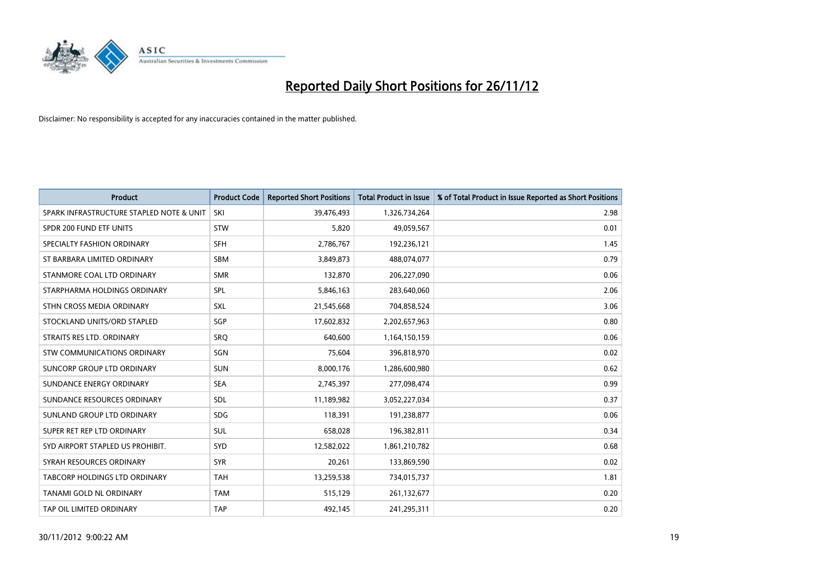

| <b>Product</b>                           | <b>Product Code</b> | <b>Reported Short Positions</b> | <b>Total Product in Issue</b> | % of Total Product in Issue Reported as Short Positions |
|------------------------------------------|---------------------|---------------------------------|-------------------------------|---------------------------------------------------------|
| SPARK INFRASTRUCTURE STAPLED NOTE & UNIT | SKI                 | 39,476,493                      | 1,326,734,264                 | 2.98                                                    |
| SPDR 200 FUND ETF UNITS                  | <b>STW</b>          | 5,820                           | 49,059,567                    | 0.01                                                    |
| SPECIALTY FASHION ORDINARY               | <b>SFH</b>          | 2,786,767                       | 192,236,121                   | 1.45                                                    |
| ST BARBARA LIMITED ORDINARY              | <b>SBM</b>          | 3,849,873                       | 488,074,077                   | 0.79                                                    |
| STANMORE COAL LTD ORDINARY               | <b>SMR</b>          | 132,870                         | 206,227,090                   | 0.06                                                    |
| STARPHARMA HOLDINGS ORDINARY             | SPL                 | 5,846,163                       | 283,640,060                   | 2.06                                                    |
| STHN CROSS MEDIA ORDINARY                | <b>SXL</b>          | 21,545,668                      | 704,858,524                   | 3.06                                                    |
| STOCKLAND UNITS/ORD STAPLED              | <b>SGP</b>          | 17,602,832                      | 2,202,657,963                 | 0.80                                                    |
| STRAITS RES LTD. ORDINARY                | <b>SRQ</b>          | 640.600                         | 1,164,150,159                 | 0.06                                                    |
| STW COMMUNICATIONS ORDINARY              | <b>SGN</b>          | 75,604                          | 396,818,970                   | 0.02                                                    |
| SUNCORP GROUP LTD ORDINARY               | <b>SUN</b>          | 8,000,176                       | 1,286,600,980                 | 0.62                                                    |
| SUNDANCE ENERGY ORDINARY                 | <b>SEA</b>          | 2,745,397                       | 277,098,474                   | 0.99                                                    |
| SUNDANCE RESOURCES ORDINARY              | <b>SDL</b>          | 11,189,982                      | 3,052,227,034                 | 0.37                                                    |
| SUNLAND GROUP LTD ORDINARY               | <b>SDG</b>          | 118,391                         | 191,238,877                   | 0.06                                                    |
| SUPER RET REP LTD ORDINARY               | <b>SUL</b>          | 658,028                         | 196,382,811                   | 0.34                                                    |
| SYD AIRPORT STAPLED US PROHIBIT.         | <b>SYD</b>          | 12,582,022                      | 1,861,210,782                 | 0.68                                                    |
| SYRAH RESOURCES ORDINARY                 | <b>SYR</b>          | 20,261                          | 133,869,590                   | 0.02                                                    |
| TABCORP HOLDINGS LTD ORDINARY            | <b>TAH</b>          | 13,259,538                      | 734,015,737                   | 1.81                                                    |
| TANAMI GOLD NL ORDINARY                  | <b>TAM</b>          | 515,129                         | 261,132,677                   | 0.20                                                    |
| TAP OIL LIMITED ORDINARY                 | <b>TAP</b>          | 492,145                         | 241,295,311                   | 0.20                                                    |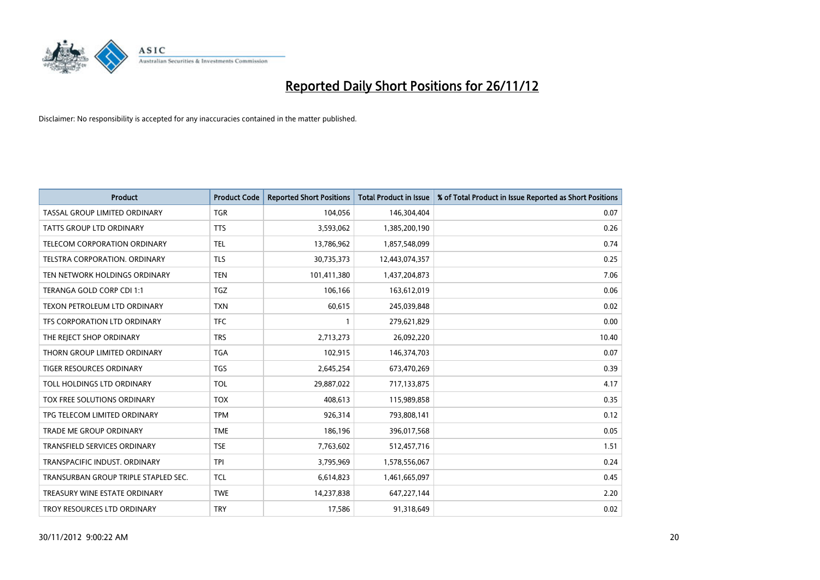

| <b>Product</b>                       | <b>Product Code</b> | <b>Reported Short Positions</b> | <b>Total Product in Issue</b> | % of Total Product in Issue Reported as Short Positions |
|--------------------------------------|---------------------|---------------------------------|-------------------------------|---------------------------------------------------------|
| TASSAL GROUP LIMITED ORDINARY        | <b>TGR</b>          | 104,056                         | 146,304,404                   | 0.07                                                    |
| TATTS GROUP LTD ORDINARY             | <b>TTS</b>          | 3,593,062                       | 1,385,200,190                 | 0.26                                                    |
| <b>TELECOM CORPORATION ORDINARY</b>  | <b>TEL</b>          | 13,786,962                      | 1,857,548,099                 | 0.74                                                    |
| TELSTRA CORPORATION. ORDINARY        | <b>TLS</b>          | 30,735,373                      | 12,443,074,357                | 0.25                                                    |
| TEN NETWORK HOLDINGS ORDINARY        | <b>TEN</b>          | 101,411,380                     | 1,437,204,873                 | 7.06                                                    |
| TERANGA GOLD CORP CDI 1:1            | <b>TGZ</b>          | 106,166                         | 163,612,019                   | 0.06                                                    |
| TEXON PETROLEUM LTD ORDINARY         | <b>TXN</b>          | 60,615                          | 245,039,848                   | 0.02                                                    |
| TFS CORPORATION LTD ORDINARY         | <b>TFC</b>          |                                 | 279,621,829                   | 0.00                                                    |
| THE REJECT SHOP ORDINARY             | <b>TRS</b>          | 2,713,273                       | 26,092,220                    | 10.40                                                   |
| THORN GROUP LIMITED ORDINARY         | <b>TGA</b>          | 102,915                         | 146,374,703                   | 0.07                                                    |
| TIGER RESOURCES ORDINARY             | <b>TGS</b>          | 2,645,254                       | 673,470,269                   | 0.39                                                    |
| TOLL HOLDINGS LTD ORDINARY           | <b>TOL</b>          | 29,887,022                      | 717,133,875                   | 4.17                                                    |
| TOX FREE SOLUTIONS ORDINARY          | <b>TOX</b>          | 408,613                         | 115,989,858                   | 0.35                                                    |
| TPG TELECOM LIMITED ORDINARY         | <b>TPM</b>          | 926,314                         | 793,808,141                   | 0.12                                                    |
| <b>TRADE ME GROUP ORDINARY</b>       | <b>TME</b>          | 186,196                         | 396,017,568                   | 0.05                                                    |
| TRANSFIELD SERVICES ORDINARY         | <b>TSE</b>          | 7,763,602                       | 512,457,716                   | 1.51                                                    |
| TRANSPACIFIC INDUST. ORDINARY        | <b>TPI</b>          | 3,795,969                       | 1,578,556,067                 | 0.24                                                    |
| TRANSURBAN GROUP TRIPLE STAPLED SEC. | <b>TCL</b>          | 6,614,823                       | 1,461,665,097                 | 0.45                                                    |
| TREASURY WINE ESTATE ORDINARY        | <b>TWE</b>          | 14,237,838                      | 647,227,144                   | 2.20                                                    |
| TROY RESOURCES LTD ORDINARY          | <b>TRY</b>          | 17,586                          | 91,318,649                    | 0.02                                                    |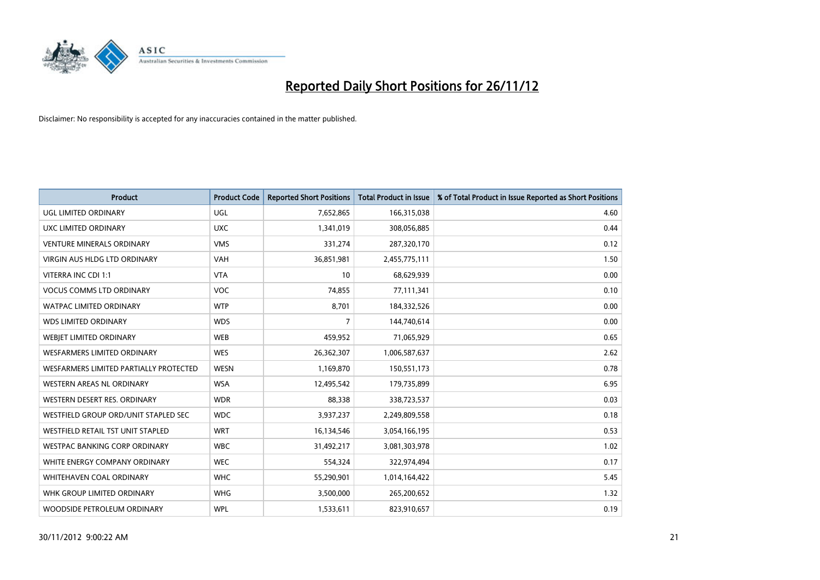

| <b>Product</b>                         | <b>Product Code</b> | <b>Reported Short Positions</b> | <b>Total Product in Issue</b> | % of Total Product in Issue Reported as Short Positions |
|----------------------------------------|---------------------|---------------------------------|-------------------------------|---------------------------------------------------------|
| UGL LIMITED ORDINARY                   | <b>UGL</b>          | 7,652,865                       | 166,315,038                   | 4.60                                                    |
| UXC LIMITED ORDINARY                   | <b>UXC</b>          | 1,341,019                       | 308,056,885                   | 0.44                                                    |
| <b>VENTURE MINERALS ORDINARY</b>       | <b>VMS</b>          | 331,274                         | 287,320,170                   | 0.12                                                    |
| <b>VIRGIN AUS HLDG LTD ORDINARY</b>    | <b>VAH</b>          | 36,851,981                      | 2,455,775,111                 | 1.50                                                    |
| VITERRA INC CDI 1:1                    | <b>VTA</b>          | 10                              | 68,629,939                    | 0.00                                                    |
| <b>VOCUS COMMS LTD ORDINARY</b>        | <b>VOC</b>          | 74,855                          | 77,111,341                    | 0.10                                                    |
| <b>WATPAC LIMITED ORDINARY</b>         | <b>WTP</b>          | 8.701                           | 184,332,526                   | 0.00                                                    |
| <b>WDS LIMITED ORDINARY</b>            | <b>WDS</b>          | 7                               | 144,740,614                   | 0.00                                                    |
| WEBJET LIMITED ORDINARY                | <b>WEB</b>          | 459,952                         | 71,065,929                    | 0.65                                                    |
| <b>WESFARMERS LIMITED ORDINARY</b>     | <b>WES</b>          | 26,362,307                      | 1,006,587,637                 | 2.62                                                    |
| WESFARMERS LIMITED PARTIALLY PROTECTED | <b>WESN</b>         | 1,169,870                       | 150,551,173                   | 0.78                                                    |
| <b>WESTERN AREAS NL ORDINARY</b>       | <b>WSA</b>          | 12,495,542                      | 179,735,899                   | 6.95                                                    |
| WESTERN DESERT RES. ORDINARY           | <b>WDR</b>          | 88,338                          | 338,723,537                   | 0.03                                                    |
| WESTFIELD GROUP ORD/UNIT STAPLED SEC   | <b>WDC</b>          | 3,937,237                       | 2,249,809,558                 | 0.18                                                    |
| WESTFIELD RETAIL TST UNIT STAPLED      | <b>WRT</b>          | 16,134,546                      | 3,054,166,195                 | 0.53                                                    |
| <b>WESTPAC BANKING CORP ORDINARY</b>   | <b>WBC</b>          | 31,492,217                      | 3,081,303,978                 | 1.02                                                    |
| WHITE ENERGY COMPANY ORDINARY          | <b>WEC</b>          | 554,324                         | 322,974,494                   | 0.17                                                    |
| <b>WHITEHAVEN COAL ORDINARY</b>        | <b>WHC</b>          | 55,290,901                      | 1,014,164,422                 | 5.45                                                    |
| WHK GROUP LIMITED ORDINARY             | <b>WHG</b>          | 3,500,000                       | 265,200,652                   | 1.32                                                    |
| WOODSIDE PETROLEUM ORDINARY            | <b>WPL</b>          | 1,533,611                       | 823,910,657                   | 0.19                                                    |